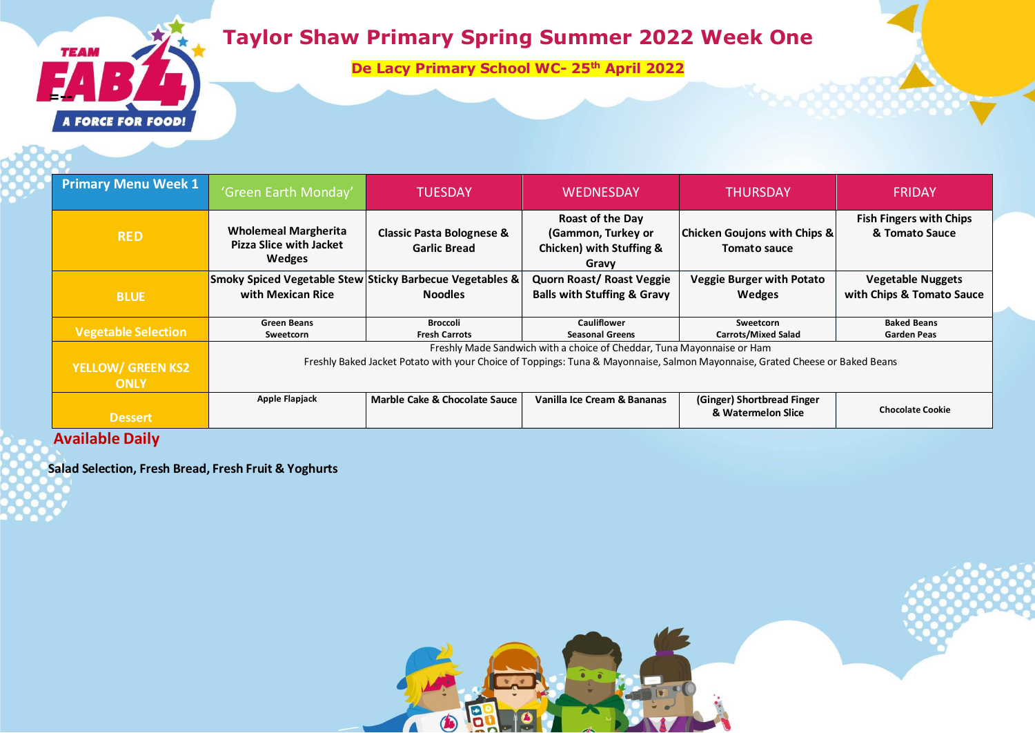

# **Taylor Shaw Primary Spring Summer 2022 Week One**

**De Lacy Primary School WC- 25 th April 2022**

| <b>Primary Menu Week 1</b> | 'Green Earth Monday'                                                                                                         | <b>TUESDAY</b>                                              | <b>WEDNESDAY</b>                                                            | <b>THURSDAY</b>                                         | <b>FRIDAY</b>                                         |
|----------------------------|------------------------------------------------------------------------------------------------------------------------------|-------------------------------------------------------------|-----------------------------------------------------------------------------|---------------------------------------------------------|-------------------------------------------------------|
| <b>RED</b>                 | <b>Wholemeal Margherita</b><br><b>Pizza Slice with Jacket</b><br>Wedges                                                      | <b>Classic Pasta Bolognese &amp;</b><br><b>Garlic Bread</b> | Roast of the Day<br>(Gammon, Turkey or<br>Chicken) with Stuffing &<br>Gravy | <b>Chicken Goujons with Chips &amp;</b><br>Tomato sauce | <b>Fish Fingers with Chips</b><br>& Tomato Sauce      |
| <b>BLUE</b>                | Smoky Spiced Vegetable Stew Sticky Barbecue Vegetables &<br>with Mexican Rice                                                | <b>Noodles</b>                                              | <b>Quorn Roast/ Roast Veggie</b><br><b>Balls with Stuffing &amp; Gravy</b>  | <b>Veggie Burger with Potato</b><br><b>Wedges</b>       | <b>Vegetable Nuggets</b><br>with Chips & Tomato Sauce |
| <b>Vegetable Selection</b> | <b>Green Beans</b><br>Sweetcorn                                                                                              | <b>Broccoli</b><br><b>Fresh Carrots</b>                     | <b>Cauliflower</b><br><b>Seasonal Greens</b>                                | Sweetcorn<br><b>Carrots/Mixed Salad</b>                 | <b>Baked Beans</b><br><b>Garden Peas</b>              |
|                            | Freshly Made Sandwich with a choice of Cheddar, Tuna Mayonnaise or Ham                                                       |                                                             |                                                                             |                                                         |                                                       |
| <b>YELLOW/ GREEN KS2</b>   | Freshly Baked Jacket Potato with your Choice of Toppings: Tuna & Mayonnaise, Salmon Mayonnaise, Grated Cheese or Baked Beans |                                                             |                                                                             |                                                         |                                                       |
| <b>ONLY</b>                |                                                                                                                              |                                                             |                                                                             |                                                         |                                                       |
| <b>Dessert</b>             | Apple Flapjack                                                                                                               | Marble Cake & Chocolate Sauce                               | Vanilla Ice Cream & Bananas                                                 | (Ginger) Shortbread Finger<br>& Watermelon Slice        | <b>Chocolate Cookie</b>                               |

B

 $\bigcirc$ 

 $\Lambda$ 

### **Available Daily**

**Salad Selection, Fresh Bread, Fresh Fruit & Yoghurts**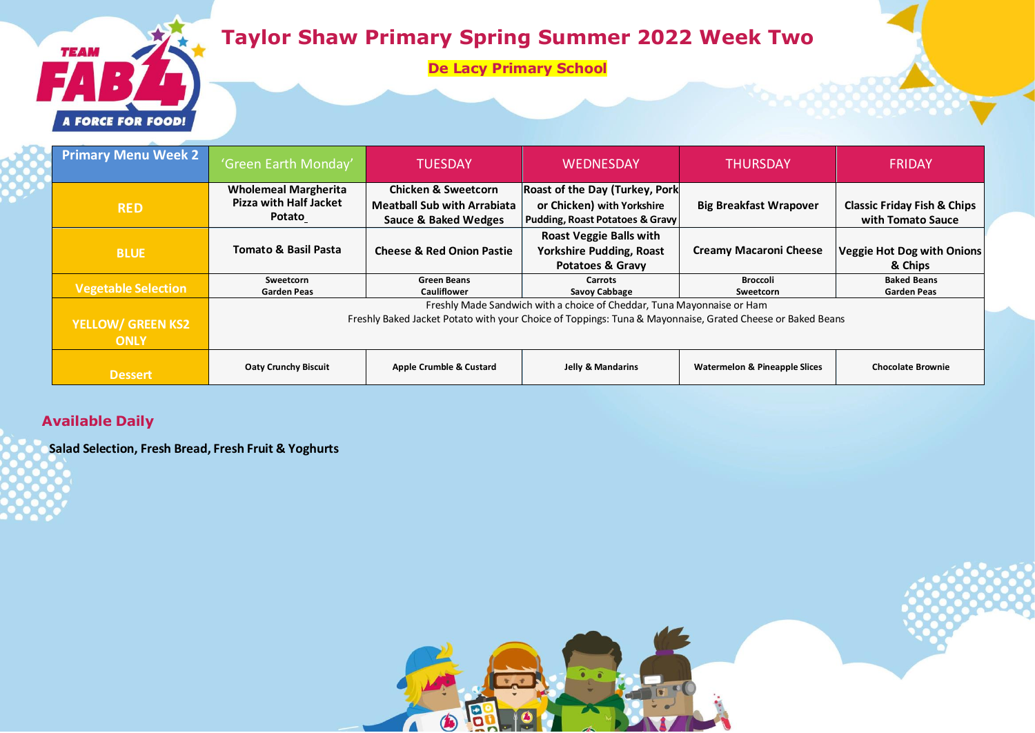## **Taylor Shaw Primary Spring Summer 2022 Week Two**

**De Lacy Primary School**



#### **Available Daily**

**TEAM** 

**FORCE FOR FOOD!** 

**Salad Selection, Fresh Bread, Fresh Fruit & Yoghurts**